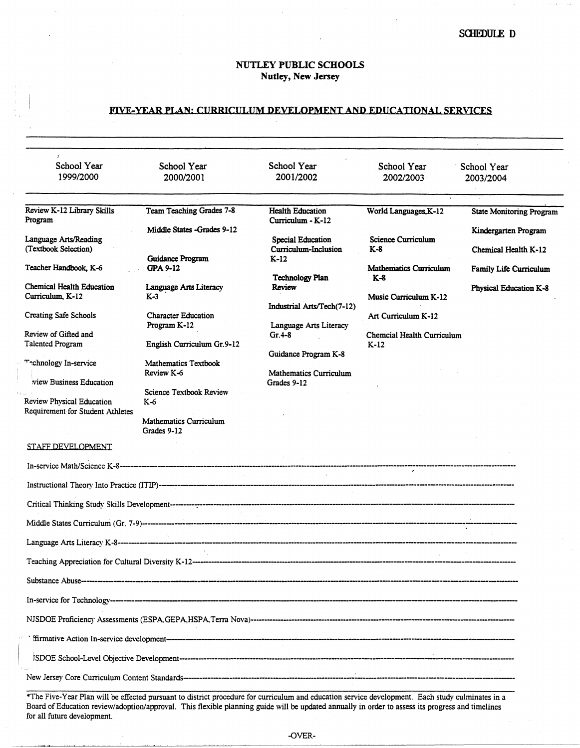## NUTLEY PUBLIC SCHOOLS Nutley, **New Jersey**

## FIVE-YEAR PLAN: CURRICULUM DEVELOPMENT AND EDUCATIONAL SERVICES

| 1999/2000<br>2000/2001<br>2001/2002<br>2002/2003<br>2003/2004<br>Review K-12 Library Skills<br><b>Team Teaching Grades 7-8</b><br><b>Health Education</b><br>World Languages, K-12<br><b>State Monitoring Program</b><br>Program<br>Curriculum - K-12<br>Middle States -Grades 9-12<br>Kindergarten Program<br><b>Science Curriculum</b><br>Language Arts/Reading<br><b>Special Education</b><br>(Textbook Selection)<br>Curriculum-Inclusion<br>$K-8$<br>Chemical Health K-12<br>Guidance Program<br>$K-12$<br>Teacher Handbook, K-6<br>GPA 9-12<br><b>Mathematics Curriculum</b><br>Family Life Curriculum<br><b>Technology Plan</b><br>$K-8$<br><b>Chemical Health Education</b><br>Language Arts Literacy<br>Review<br><b>Physical Education K-8</b><br>Curriculum, K-12<br>$K-3$<br>Music Curriculum K-12<br>Industrial Arts/Tech(7-12)<br><b>Character Education</b><br>Art Curriculum K-12<br>Program K-12<br>Language Arts Literacy<br>Review of Gifted and<br>Gr. 4-8<br>Chemcial Health Curriculum<br>English Curriculum Gr.9-12<br>$K-12$<br>Guidance Program K-8<br>Technology In-service<br><b>Mathematics Textbook</b><br>Review K-6<br><b>Mathematics Curriculum</b><br>view Business Education<br>Grades 9-12<br><b>Science Textbook Review</b><br>K-6<br><b>Mathematics Curriculum</b><br>Grades 9-12<br>STAFF DEVELOPMENT |                              |             |             |             |             |
|---------------------------------------------------------------------------------------------------------------------------------------------------------------------------------------------------------------------------------------------------------------------------------------------------------------------------------------------------------------------------------------------------------------------------------------------------------------------------------------------------------------------------------------------------------------------------------------------------------------------------------------------------------------------------------------------------------------------------------------------------------------------------------------------------------------------------------------------------------------------------------------------------------------------------------------------------------------------------------------------------------------------------------------------------------------------------------------------------------------------------------------------------------------------------------------------------------------------------------------------------------------------------------------------------------------------------------------------|------------------------------|-------------|-------------|-------------|-------------|
|                                                                                                                                                                                                                                                                                                                                                                                                                                                                                                                                                                                                                                                                                                                                                                                                                                                                                                                                                                                                                                                                                                                                                                                                                                                                                                                                             | School Year                  | School Year | School Year | School Year | School Year |
|                                                                                                                                                                                                                                                                                                                                                                                                                                                                                                                                                                                                                                                                                                                                                                                                                                                                                                                                                                                                                                                                                                                                                                                                                                                                                                                                             |                              |             |             |             |             |
|                                                                                                                                                                                                                                                                                                                                                                                                                                                                                                                                                                                                                                                                                                                                                                                                                                                                                                                                                                                                                                                                                                                                                                                                                                                                                                                                             |                              |             |             |             |             |
|                                                                                                                                                                                                                                                                                                                                                                                                                                                                                                                                                                                                                                                                                                                                                                                                                                                                                                                                                                                                                                                                                                                                                                                                                                                                                                                                             |                              |             |             |             |             |
|                                                                                                                                                                                                                                                                                                                                                                                                                                                                                                                                                                                                                                                                                                                                                                                                                                                                                                                                                                                                                                                                                                                                                                                                                                                                                                                                             |                              |             |             |             |             |
|                                                                                                                                                                                                                                                                                                                                                                                                                                                                                                                                                                                                                                                                                                                                                                                                                                                                                                                                                                                                                                                                                                                                                                                                                                                                                                                                             |                              |             |             |             |             |
|                                                                                                                                                                                                                                                                                                                                                                                                                                                                                                                                                                                                                                                                                                                                                                                                                                                                                                                                                                                                                                                                                                                                                                                                                                                                                                                                             |                              |             |             |             |             |
|                                                                                                                                                                                                                                                                                                                                                                                                                                                                                                                                                                                                                                                                                                                                                                                                                                                                                                                                                                                                                                                                                                                                                                                                                                                                                                                                             |                              |             |             |             |             |
| <b>Talented Program</b><br>Review Physical Education<br>Requirement for Student Athletes                                                                                                                                                                                                                                                                                                                                                                                                                                                                                                                                                                                                                                                                                                                                                                                                                                                                                                                                                                                                                                                                                                                                                                                                                                                    | <b>Creating Safe Schools</b> |             |             |             |             |
|                                                                                                                                                                                                                                                                                                                                                                                                                                                                                                                                                                                                                                                                                                                                                                                                                                                                                                                                                                                                                                                                                                                                                                                                                                                                                                                                             |                              |             |             |             |             |
|                                                                                                                                                                                                                                                                                                                                                                                                                                                                                                                                                                                                                                                                                                                                                                                                                                                                                                                                                                                                                                                                                                                                                                                                                                                                                                                                             |                              |             |             |             |             |
|                                                                                                                                                                                                                                                                                                                                                                                                                                                                                                                                                                                                                                                                                                                                                                                                                                                                                                                                                                                                                                                                                                                                                                                                                                                                                                                                             |                              |             |             |             |             |
|                                                                                                                                                                                                                                                                                                                                                                                                                                                                                                                                                                                                                                                                                                                                                                                                                                                                                                                                                                                                                                                                                                                                                                                                                                                                                                                                             |                              |             |             |             |             |
|                                                                                                                                                                                                                                                                                                                                                                                                                                                                                                                                                                                                                                                                                                                                                                                                                                                                                                                                                                                                                                                                                                                                                                                                                                                                                                                                             |                              |             |             |             |             |
|                                                                                                                                                                                                                                                                                                                                                                                                                                                                                                                                                                                                                                                                                                                                                                                                                                                                                                                                                                                                                                                                                                                                                                                                                                                                                                                                             |                              |             |             |             |             |
|                                                                                                                                                                                                                                                                                                                                                                                                                                                                                                                                                                                                                                                                                                                                                                                                                                                                                                                                                                                                                                                                                                                                                                                                                                                                                                                                             |                              |             |             |             |             |
|                                                                                                                                                                                                                                                                                                                                                                                                                                                                                                                                                                                                                                                                                                                                                                                                                                                                                                                                                                                                                                                                                                                                                                                                                                                                                                                                             |                              |             |             |             |             |
|                                                                                                                                                                                                                                                                                                                                                                                                                                                                                                                                                                                                                                                                                                                                                                                                                                                                                                                                                                                                                                                                                                                                                                                                                                                                                                                                             |                              |             |             |             |             |
|                                                                                                                                                                                                                                                                                                                                                                                                                                                                                                                                                                                                                                                                                                                                                                                                                                                                                                                                                                                                                                                                                                                                                                                                                                                                                                                                             |                              |             |             |             |             |
|                                                                                                                                                                                                                                                                                                                                                                                                                                                                                                                                                                                                                                                                                                                                                                                                                                                                                                                                                                                                                                                                                                                                                                                                                                                                                                                                             |                              |             |             |             |             |
|                                                                                                                                                                                                                                                                                                                                                                                                                                                                                                                                                                                                                                                                                                                                                                                                                                                                                                                                                                                                                                                                                                                                                                                                                                                                                                                                             |                              |             |             |             |             |
|                                                                                                                                                                                                                                                                                                                                                                                                                                                                                                                                                                                                                                                                                                                                                                                                                                                                                                                                                                                                                                                                                                                                                                                                                                                                                                                                             |                              |             |             |             |             |
|                                                                                                                                                                                                                                                                                                                                                                                                                                                                                                                                                                                                                                                                                                                                                                                                                                                                                                                                                                                                                                                                                                                                                                                                                                                                                                                                             |                              |             |             |             |             |
|                                                                                                                                                                                                                                                                                                                                                                                                                                                                                                                                                                                                                                                                                                                                                                                                                                                                                                                                                                                                                                                                                                                                                                                                                                                                                                                                             |                              |             |             |             |             |
|                                                                                                                                                                                                                                                                                                                                                                                                                                                                                                                                                                                                                                                                                                                                                                                                                                                                                                                                                                                                                                                                                                                                                                                                                                                                                                                                             |                              |             |             |             |             |
|                                                                                                                                                                                                                                                                                                                                                                                                                                                                                                                                                                                                                                                                                                                                                                                                                                                                                                                                                                                                                                                                                                                                                                                                                                                                                                                                             |                              |             |             |             |             |
|                                                                                                                                                                                                                                                                                                                                                                                                                                                                                                                                                                                                                                                                                                                                                                                                                                                                                                                                                                                                                                                                                                                                                                                                                                                                                                                                             |                              |             |             |             |             |
|                                                                                                                                                                                                                                                                                                                                                                                                                                                                                                                                                                                                                                                                                                                                                                                                                                                                                                                                                                                                                                                                                                                                                                                                                                                                                                                                             |                              |             |             |             |             |
|                                                                                                                                                                                                                                                                                                                                                                                                                                                                                                                                                                                                                                                                                                                                                                                                                                                                                                                                                                                                                                                                                                                                                                                                                                                                                                                                             |                              |             |             |             |             |

\*The Five-Year Plan will be effected pursuant to district procedure for curriculum and education service development. Each study culminates in a Board of Education review/adoption/approval. This flexible planning guide will be updated annually in order to assess its progress and timelines for all future development.